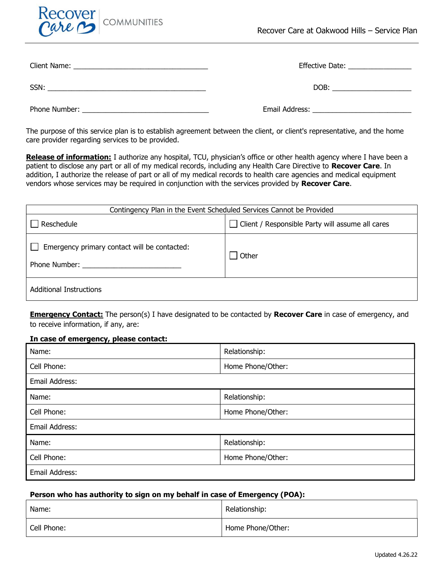

|               | Effective Date: _________________ |  |
|---------------|-----------------------------------|--|
| SSN:          | DOB:                              |  |
| Phone Number: | Email Address:                    |  |

The purpose of this service plan is to establish agreement between the client, or client's representative, and the home care provider regarding services to be provided.

Release of information: I authorize any hospital, TCU, physician's office or other health agency where I have been a patient to disclose any part or all of my medical records, including any Health Care Directive to Recover Care. In addition, I authorize the release of part or all of my medical records to health care agencies and medical equipment vendors whose services may be required in conjunction with the services provided by Recover Care.

| Contingency Plan in the Event Scheduled Services Cannot be Provided |                                                  |  |
|---------------------------------------------------------------------|--------------------------------------------------|--|
| Reschedule                                                          | Client / Responsible Party will assume all cares |  |
| Emergency primary contact will be contacted:<br>Phone Number:       | Other                                            |  |
| <b>Additional Instructions</b>                                      |                                                  |  |

**Emergency Contact:** The person(s) I have designated to be contacted by **Recover Care** in case of emergency, and to receive information, if any, are:

## In case of emergency, please contact:

| Name:          | Relationship:     |
|----------------|-------------------|
| Cell Phone:    | Home Phone/Other: |
| Email Address: |                   |
| Name:          | Relationship:     |
| Cell Phone:    | Home Phone/Other: |
| Email Address: |                   |
| Name:          | Relationship:     |
| Cell Phone:    | Home Phone/Other: |
| Email Address: |                   |

## Person who has authority to sign on my behalf in case of Emergency (POA):

| Name:       | Relationship:     |
|-------------|-------------------|
| Cell Phone: | Home Phone/Other: |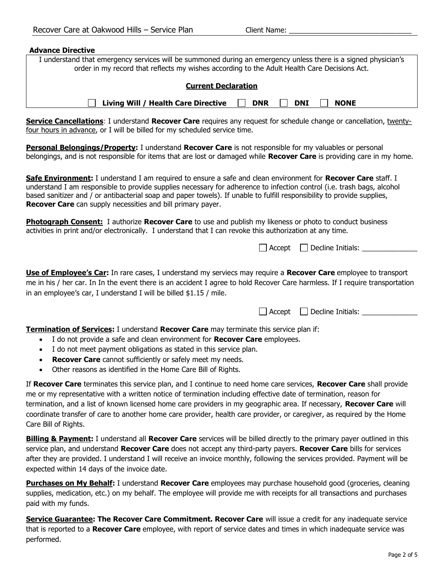| <b>Advance Directive</b>                                                                                                                                                                                                                                                                                                                                                                                                                                                                                          |  |  |
|-------------------------------------------------------------------------------------------------------------------------------------------------------------------------------------------------------------------------------------------------------------------------------------------------------------------------------------------------------------------------------------------------------------------------------------------------------------------------------------------------------------------|--|--|
| I understand that emergency services will be summoned during an emergency unless there is a signed physician's<br>order in my record that reflects my wishes according to the Adult Health Care Decisions Act.                                                                                                                                                                                                                                                                                                    |  |  |
| <b>Current Declaration</b>                                                                                                                                                                                                                                                                                                                                                                                                                                                                                        |  |  |
| Living Will / Health Care Directive<br><b>DNR</b><br><b>NONE</b><br><b>DNI</b>                                                                                                                                                                                                                                                                                                                                                                                                                                    |  |  |
| <b>Service Cancellations:</b> I understand Recover Care requires any request for schedule change or cancellation, twenty-<br>four hours in advance, or I will be billed for my scheduled service time.                                                                                                                                                                                                                                                                                                            |  |  |
| Personal Belongings/Property: I understand Recover Care is not responsible for my valuables or personal<br>belongings, and is not responsible for items that are lost or damaged while Recover Care is providing care in my home.                                                                                                                                                                                                                                                                                 |  |  |
| Safe Environment: I understand I am required to ensure a safe and clean environment for Recover Care staff. I<br>understand I am responsible to provide supplies necessary for adherence to infection control (i.e. trash bags, alcohol<br>based sanitizer and / or antibacterial soap and paper towels). If unable to fulfill responsibility to provide supplies,<br>Recover Care can supply necessities and bill primary payer.                                                                                 |  |  |
| <b>Photograph Consent:</b> I authorize Recover Care to use and publish my likeness or photo to conduct business<br>activities in print and/or electronically. I understand that I can revoke this authorization at any time.                                                                                                                                                                                                                                                                                      |  |  |
| $\Box$ Accept $\Box$ Decline Initials: $\Box$                                                                                                                                                                                                                                                                                                                                                                                                                                                                     |  |  |
| <b>Use of Employee's Car:</b> In rare cases, I understand my serviecs may require a Recover Care employee to transport<br>me in his / her car. In In the event there is an accident I agree to hold Recover Care harmless. If I require transportation<br>in an employee's car, I understand I will be billed \$1.15 / mile.                                                                                                                                                                                      |  |  |
| $\Box$ Accept $\Box$ Decline Initials: $\Box$                                                                                                                                                                                                                                                                                                                                                                                                                                                                     |  |  |
| Termination of Services: I understand Recover Care may terminate this service plan if:<br>I do not provide a safe and clean environment for Recover Care employees.<br>$\bullet$<br>I do not meet payment obligations as stated in this service plan.<br>$\bullet$<br>Recover Care cannot sufficiently or safely meet my needs.<br>$\bullet$<br>Other reasons as identified in the Home Care Bill of Rights.                                                                                                      |  |  |
| If Recover Care terminates this service plan, and I continue to need home care services, Recover Care shall provide<br>me or my representative with a written notice of termination including effective date of termination, reason for<br>termination, and a list of known licensed home care providers in my geographic area. If necessary, Recover Care will<br>coordinate transfer of care to another home care provider, health care provider, or caregiver, as required by the Home<br>Care Bill of Rights. |  |  |
| <b>Billing &amp; Payment:</b> I understand all <b>Recover Care</b> services will be billed directly to the primary payer outlined in this<br>service plan, and understand Recover Care does not accept any third-party payers. Recover Care bills for services<br>after they are provided. I understand I will receive an invoice monthly, following the services provided. Payment will be<br>expected within 14 days of the invoice date.                                                                       |  |  |
| <b>Purchases on My Behalf:</b> I understand Recover Care employees may purchase household good (groceries, cleaning<br>supplies, medication, etc.) on my behalf. The employee will provide me with receipts for all transactions and purchases<br>paid with my funds.                                                                                                                                                                                                                                             |  |  |

Service Guarantee: The Recover Care Commitment. Recover Care will issue a credit for any inadequate service that is reported to a Recover Care employee, with report of service dates and times in which inadequate service was performed.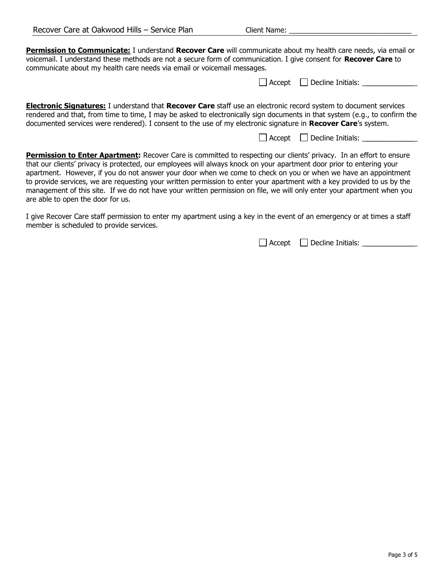Permission to Communicate: I understand Recover Care will communicate about my health care needs, via email or voicemail. I understand these methods are not a secure form of communication. I give consent for Recover Care to communicate about my health care needs via email or voicemail messages.

|  | $\Box$ Accept $\Box$ Decline Initials: |  |
|--|----------------------------------------|--|
|--|----------------------------------------|--|

Electronic Signatures: I understand that Recover Care staff use an electronic record system to document services rendered and that, from time to time, I may be asked to electronically sign documents in that system (e.g., to confirm the documented services were rendered). I consent to the use of my electronic signature in Recover Care's system.

 $\Box$  Accept  $\Box$  Decline Initials:

Permission to Enter Apartment: Recover Care is committed to respecting our clients' privacy. In an effort to ensure that our clients' privacy is protected, our employees will always knock on your apartment door prior to entering your apartment. However, if you do not answer your door when we come to check on you or when we have an appointment to provide services, we are requesting your written permission to enter your apartment with a key provided to us by the management of this site. If we do not have your written permission on file, we will only enter your apartment when you are able to open the door for us.

I give Recover Care staff permission to enter my apartment using a key in the event of an emergency or at times a staff member is scheduled to provide services.

Accept Decline Initials: \_\_\_\_\_\_\_\_\_\_\_\_\_\_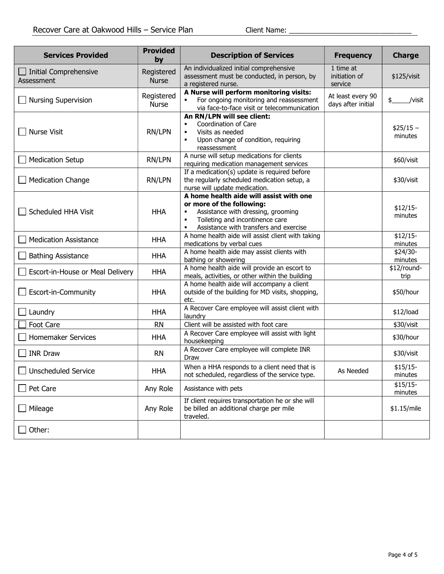| <b>Services Provided</b>                   | <b>Provided</b><br>by      | <b>Description of Services</b>                                                                                                                                                                                 | <b>Frequency</b>                        | <b>Charge</b>         |
|--------------------------------------------|----------------------------|----------------------------------------------------------------------------------------------------------------------------------------------------------------------------------------------------------------|-----------------------------------------|-----------------------|
| $\Box$ Initial Comprehensive<br>Assessment | Registered<br><b>Nurse</b> | An individualized initial comprehensive<br>assessment must be conducted, in person, by<br>a registered nurse.                                                                                                  | 1 time at<br>initiation of<br>service   | \$125/visit           |
| <b>Nursing Supervision</b>                 | Registered<br>Nurse        | A Nurse will perform monitoring visits:<br>For ongoing monitoring and reassessment<br>via face-to-face visit or telecommunication                                                                              | At least every 90<br>days after initial | /visit<br>\$          |
| <b>Nurse Visit</b>                         | RN/LPN                     | An RN/LPN will see client:<br>Coordination of Care<br>Visits as needed<br>$\blacksquare$<br>Upon change of condition, requiring<br>reassessment                                                                |                                         | $$25/15 -$<br>minutes |
| <b>Medication Setup</b>                    | RN/LPN                     | A nurse will setup medications for clients<br>requiring medication management services                                                                                                                         |                                         | \$60/visit            |
| <b>Medication Change</b>                   | RN/LPN                     | If a medication(s) update is required before<br>the regularly scheduled medication setup, a<br>nurse will update medication.                                                                                   |                                         | \$30/visit            |
| Scheduled HHA Visit                        | <b>HHA</b>                 | A home health aide will assist with one<br>or more of the following:<br>Assistance with dressing, grooming<br>Toileting and incontinence care<br>$\blacksquare$<br>Assistance with transfers and exercise<br>٠ |                                         | $$12/15-$<br>minutes  |
| <b>Medication Assistance</b>               | <b>HHA</b>                 | A home health aide will assist client with taking<br>medications by verbal cues                                                                                                                                |                                         | $$12/15-$<br>minutes  |
| <b>Bathing Assistance</b>                  | <b>HHA</b>                 | A home health aide may assist clients with<br>bathing or showering                                                                                                                                             |                                         | \$24/30-<br>minutes   |
| Escort-in-House or Meal Delivery           | <b>HHA</b>                 | A home health aide will provide an escort to<br>meals, activities, or other within the building                                                                                                                |                                         | \$12/round-<br>trip   |
| Escort-in-Community                        | <b>HHA</b>                 | A home health aide will accompany a client<br>outside of the building for MD visits, shopping,<br>etc.                                                                                                         |                                         | \$50/hour             |
| Laundry                                    | <b>HHA</b>                 | A Recover Care employee will assist client with<br>laundry                                                                                                                                                     |                                         | \$12/load             |
| Foot Care                                  | <b>RN</b>                  | Client will be assisted with foot care                                                                                                                                                                         |                                         | \$30/visit            |
| Homemaker Services                         | <b>HHA</b>                 | A Recover Care employee will assist with light<br>housekeeping                                                                                                                                                 |                                         | \$30/hour             |
| <b>INR Draw</b>                            | <b>RN</b>                  | A Recover Care employee will complete INR<br>Draw                                                                                                                                                              |                                         | \$30/visit            |
| <b>Unscheduled Service</b>                 | <b>HHA</b>                 | When a HHA responds to a client need that is<br>not scheduled, regardless of the service type.                                                                                                                 | As Needed                               | $$15/15-$<br>minutes  |
| Pet Care                                   | Any Role                   | Assistance with pets                                                                                                                                                                                           |                                         | $$15/15-$<br>minutes  |
| Mileage                                    | Any Role                   | If client requires transportation he or she will<br>be billed an additional charge per mile<br>traveled.                                                                                                       |                                         | \$1.15/mile           |
| Other:                                     |                            |                                                                                                                                                                                                                |                                         |                       |